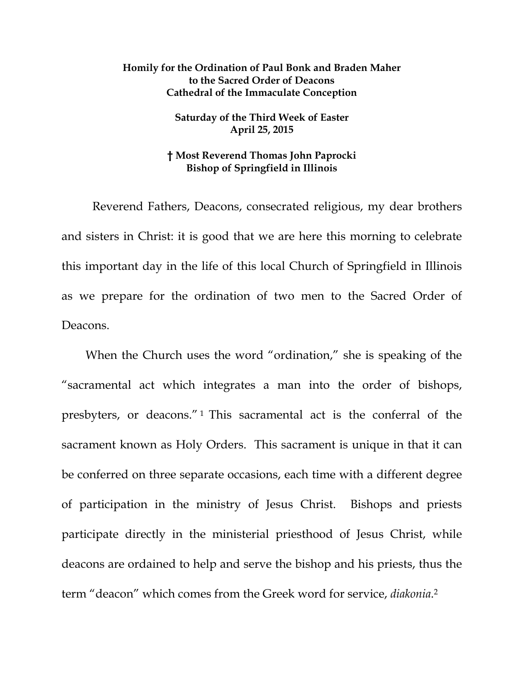## **Homily for the Ordination of Paul Bonk and Braden Maher to the Sacred Order of Deacons Cathedral of the Immaculate Conception**

## **Saturday of the Third Week of Easter April 25, 2015**

## **† Most Reverend Thomas John Paprocki Bishop of Springfield in Illinois**

 Reverend Fathers, Deacons, consecrated religious, my dear brothers and sisters in Christ: it is good that we are here this morning to celebrate this important day in the life of this local Church of Springfield in Illinois as we prepare for the ordination of two men to the Sacred Order of Deacons.

When the Church uses the word "ordination," she is speaking of the "sacramental act which integrates a man into the order of bishops, presbyters, or deacons." 1 This sacramental act is the conferral of the sacrament known as Holy Orders. This sacrament is unique in that it can be conferred on three separate occasions, each time with a different degree of participation in the ministry of Jesus Christ. Bishops and priests participate directly in the ministerial priesthood of Jesus Christ, while deacons are ordained to help and serve the bishop and his priests, thus the term "deacon" which comes from the Greek word for service, *diakonia*.2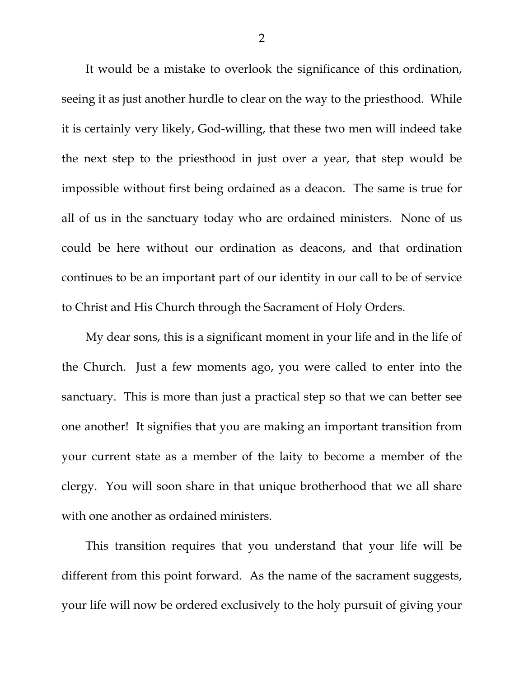It would be a mistake to overlook the significance of this ordination, seeing it as just another hurdle to clear on the way to the priesthood. While it is certainly very likely, God-willing, that these two men will indeed take the next step to the priesthood in just over a year, that step would be impossible without first being ordained as a deacon. The same is true for all of us in the sanctuary today who are ordained ministers. None of us could be here without our ordination as deacons, and that ordination continues to be an important part of our identity in our call to be of service to Christ and His Church through the Sacrament of Holy Orders.

My dear sons, this is a significant moment in your life and in the life of the Church. Just a few moments ago, you were called to enter into the sanctuary. This is more than just a practical step so that we can better see one another! It signifies that you are making an important transition from your current state as a member of the laity to become a member of the clergy. You will soon share in that unique brotherhood that we all share with one another as ordained ministers.

This transition requires that you understand that your life will be different from this point forward. As the name of the sacrament suggests, your life will now be ordered exclusively to the holy pursuit of giving your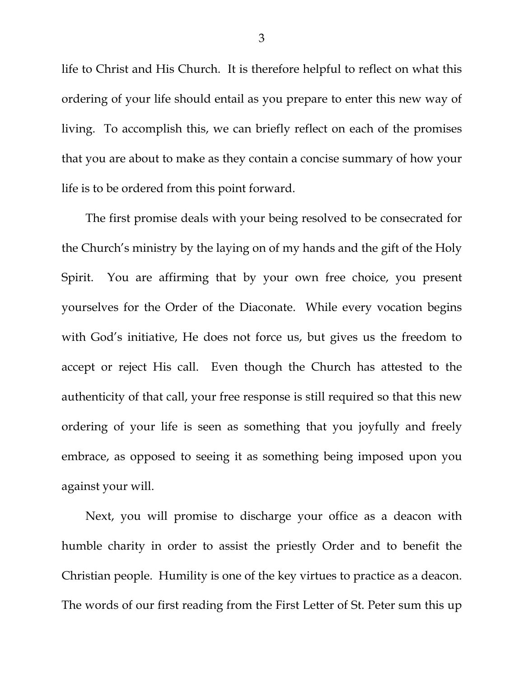life to Christ and His Church. It is therefore helpful to reflect on what this ordering of your life should entail as you prepare to enter this new way of living. To accomplish this, we can briefly reflect on each of the promises that you are about to make as they contain a concise summary of how your life is to be ordered from this point forward.

The first promise deals with your being resolved to be consecrated for the Church's ministry by the laying on of my hands and the gift of the Holy Spirit. You are affirming that by your own free choice, you present yourselves for the Order of the Diaconate. While every vocation begins with God's initiative, He does not force us, but gives us the freedom to accept or reject His call. Even though the Church has attested to the authenticity of that call, your free response is still required so that this new ordering of your life is seen as something that you joyfully and freely embrace, as opposed to seeing it as something being imposed upon you against your will.

Next, you will promise to discharge your office as a deacon with humble charity in order to assist the priestly Order and to benefit the Christian people. Humility is one of the key virtues to practice as a deacon. The words of our first reading from the First Letter of St. Peter sum this up

3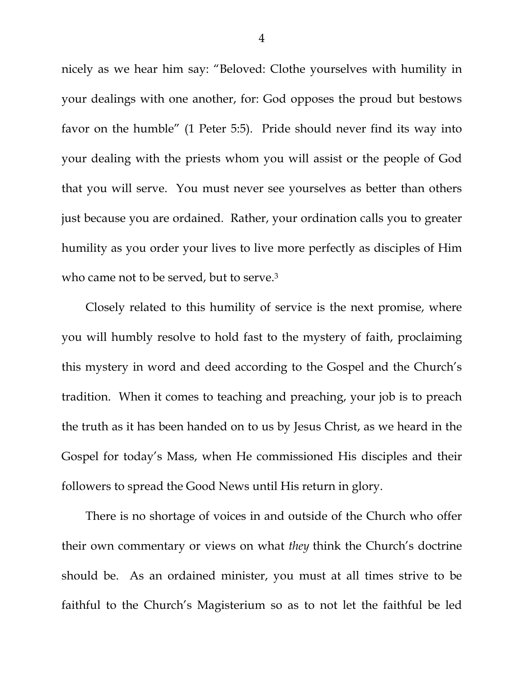nicely as we hear him say: "Beloved: Clothe yourselves with humility in your dealings with one another, for: God opposes the proud but bestows favor on the humble" (1 Peter 5:5). Pride should never find its way into your dealing with the priests whom you will assist or the people of God that you will serve. You must never see yourselves as better than others just because you are ordained. Rather, your ordination calls you to greater humility as you order your lives to live more perfectly as disciples of Him who came not to be served, but to serve.<sup>3</sup>

Closely related to this humility of service is the next promise, where you will humbly resolve to hold fast to the mystery of faith, proclaiming this mystery in word and deed according to the Gospel and the Church's tradition. When it comes to teaching and preaching, your job is to preach the truth as it has been handed on to us by Jesus Christ, as we heard in the Gospel for today's Mass, when He commissioned His disciples and their followers to spread the Good News until His return in glory.

There is no shortage of voices in and outside of the Church who offer their own commentary or views on what *they* think the Church's doctrine should be. As an ordained minister, you must at all times strive to be faithful to the Church's Magisterium so as to not let the faithful be led

4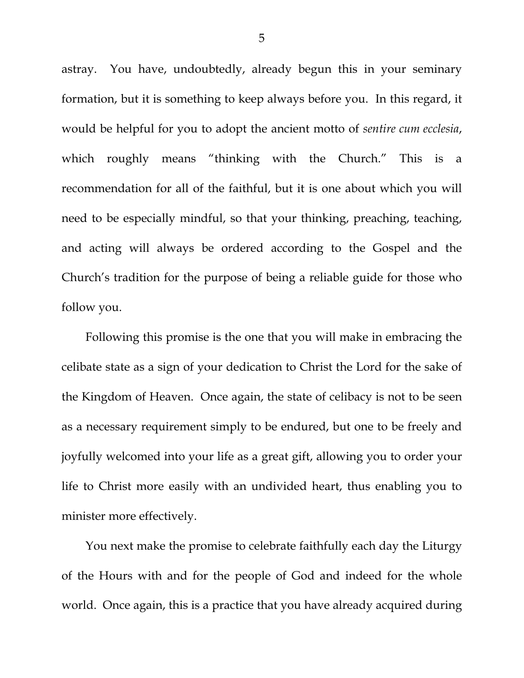astray. You have, undoubtedly, already begun this in your seminary formation, but it is something to keep always before you. In this regard, it would be helpful for you to adopt the ancient motto of *sentire cum ecclesia*, which roughly means "thinking with the Church." This is a recommendation for all of the faithful, but it is one about which you will need to be especially mindful, so that your thinking, preaching, teaching, and acting will always be ordered according to the Gospel and the Church's tradition for the purpose of being a reliable guide for those who follow you.

Following this promise is the one that you will make in embracing the celibate state as a sign of your dedication to Christ the Lord for the sake of the Kingdom of Heaven. Once again, the state of celibacy is not to be seen as a necessary requirement simply to be endured, but one to be freely and joyfully welcomed into your life as a great gift, allowing you to order your life to Christ more easily with an undivided heart, thus enabling you to minister more effectively.

You next make the promise to celebrate faithfully each day the Liturgy of the Hours with and for the people of God and indeed for the whole world. Once again, this is a practice that you have already acquired during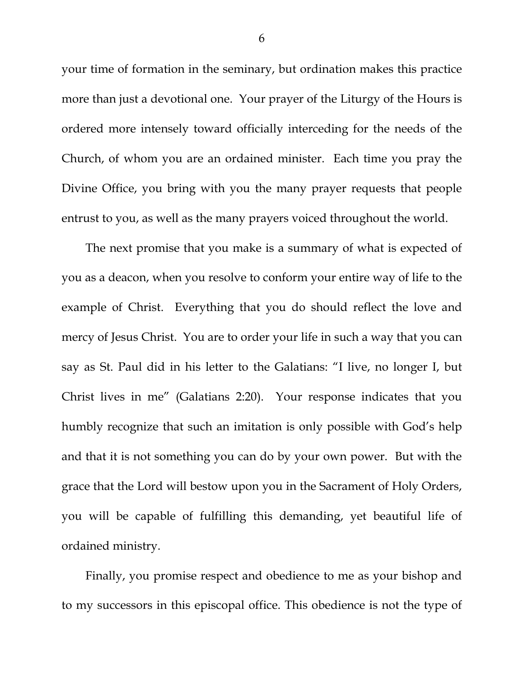your time of formation in the seminary, but ordination makes this practice more than just a devotional one. Your prayer of the Liturgy of the Hours is ordered more intensely toward officially interceding for the needs of the Church, of whom you are an ordained minister. Each time you pray the Divine Office, you bring with you the many prayer requests that people entrust to you, as well as the many prayers voiced throughout the world.

The next promise that you make is a summary of what is expected of you as a deacon, when you resolve to conform your entire way of life to the example of Christ. Everything that you do should reflect the love and mercy of Jesus Christ. You are to order your life in such a way that you can say as St. Paul did in his letter to the Galatians: "I live, no longer I, but Christ lives in me" (Galatians 2:20). Your response indicates that you humbly recognize that such an imitation is only possible with God's help and that it is not something you can do by your own power. But with the grace that the Lord will bestow upon you in the Sacrament of Holy Orders, you will be capable of fulfilling this demanding, yet beautiful life of ordained ministry.

Finally, you promise respect and obedience to me as your bishop and to my successors in this episcopal office. This obedience is not the type of

6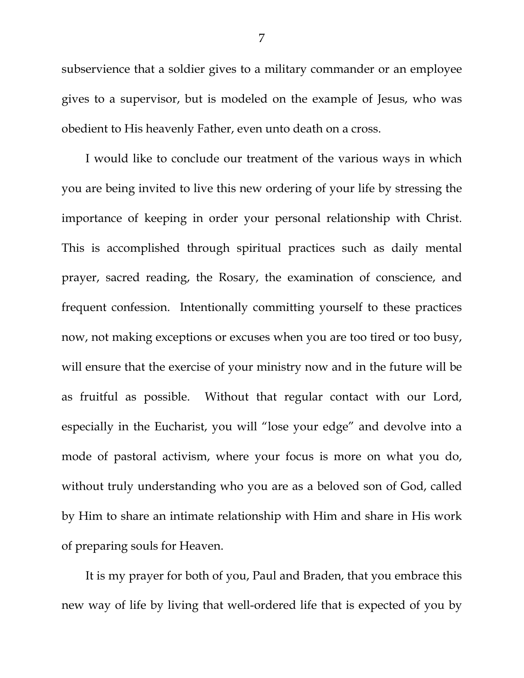subservience that a soldier gives to a military commander or an employee gives to a supervisor, but is modeled on the example of Jesus, who was obedient to His heavenly Father, even unto death on a cross.

I would like to conclude our treatment of the various ways in which you are being invited to live this new ordering of your life by stressing the importance of keeping in order your personal relationship with Christ. This is accomplished through spiritual practices such as daily mental prayer, sacred reading, the Rosary, the examination of conscience, and frequent confession. Intentionally committing yourself to these practices now, not making exceptions or excuses when you are too tired or too busy, will ensure that the exercise of your ministry now and in the future will be as fruitful as possible. Without that regular contact with our Lord, especially in the Eucharist, you will "lose your edge" and devolve into a mode of pastoral activism, where your focus is more on what you do, without truly understanding who you are as a beloved son of God, called by Him to share an intimate relationship with Him and share in His work of preparing souls for Heaven.

It is my prayer for both of you, Paul and Braden, that you embrace this new way of life by living that well-ordered life that is expected of you by